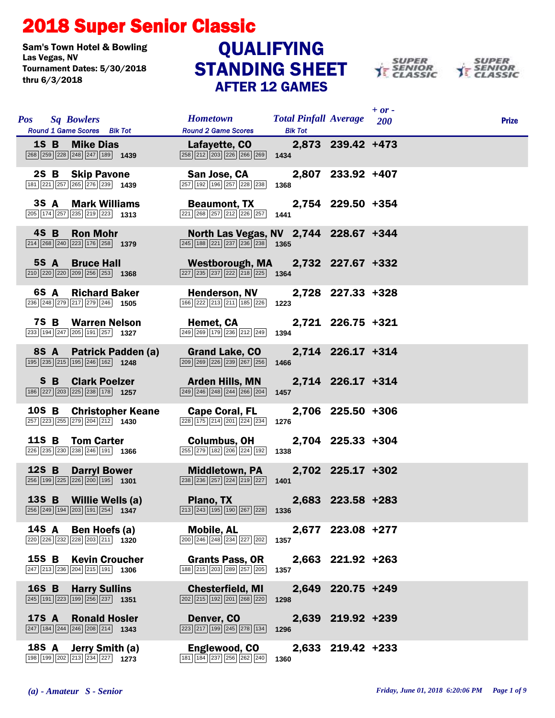## 2018 Super Senior Classic

Sam's Town Hotel & Bowling<br>Las Vegas. NV Tournament Dates: 5/30/2018 thru 6/3/2018

## STANDING SHEET AFTER 12 GAMES QUALIFYING





|              | Pos Sq Bowlers        | Round 1 Game Scores Blk Tot                                                                                             | <b>Hometown</b><br><b>Round 2 Game Scores</b>                                                                                          | <b>Total Pinfall Average</b> 200<br><b>Blk Tot</b> |                   | $+$ or - | <b>Prize</b> |
|--------------|-----------------------|-------------------------------------------------------------------------------------------------------------------------|----------------------------------------------------------------------------------------------------------------------------------------|----------------------------------------------------|-------------------|----------|--------------|
|              | <b>1S B</b> Mike Dias |                                                                                                                         | Lafayette, CO<br>$\sqrt{258}\sqrt{212}\sqrt{203}\sqrt{226}\sqrt{266}\sqrt{269}$ 1434                                                   |                                                    | 2,873 239.42 +473 |          |              |
|              |                       | 2S B Skip Pavone<br>181 221 257 265 276 239 1439                                                                        | San Jose, CA<br>$\overline{ 257   192   196   257   228   238 }$ 1368                                                                  |                                                    | 2,807 233.92 +407 |          |              |
|              |                       | 3S A Mark Williams<br>$\boxed{205}$ $\boxed{174}$ $\boxed{257}$ $\boxed{235}$ $\boxed{219}$ $\boxed{223}$ <b>1313</b>   | Beaumont, TX 2,754 229.50 +354<br>$\sqrt{221}\sqrt{268}\sqrt{257}\sqrt{212}\sqrt{226}\sqrt{257}$ 1441                                  |                                                    |                   |          |              |
|              | $4S$ B                | <b>Ron Mohr</b><br>$\boxed{214}$ $\boxed{268}$ $\boxed{240}$ $\boxed{223}$ $\boxed{176}$ $\boxed{258}$ <b>1379</b>      | North Las Vegas, NV 2,744 228.67 +344<br>$\overline{245}$ 188 $\overline{221}$ $\overline{237}$ $\overline{236}$ $\overline{238}$ 1365 |                                                    |                   |          |              |
|              | 5S A                  | <b>Bruce Hall</b><br>$\boxed{210}$ $\boxed{220}$ $\boxed{220}$ $\boxed{209}$ $\boxed{256}$ $\boxed{253}$ <b>1368</b>    | Westborough, MA 2,732 227.67 +332<br>$\sqrt{227}\sqrt{235}\sqrt{237}\sqrt{222}\sqrt{218}\sqrt{225}$ 1364                               |                                                    |                   |          |              |
|              |                       | 6S A Richard Baker<br>236 248 279 217 279 246 1505                                                                      | <b>Henderson, NV</b><br>$\boxed{166}\boxed{222}\boxed{213}\boxed{211}\boxed{185}\boxed{226}$ 1223                                      |                                                    | 2,728 227.33 +328 |          |              |
|              |                       | <b>7S B Warren Nelson</b><br>233 194 247 205 191 257 1327                                                               | Hemet, CA<br>$\overline{249}$ $\overline{269}$ $\overline{179}$ $\overline{236}$ $\overline{212}$ $\overline{249}$ 1394                |                                                    | 2,721 226.75 +321 |          |              |
|              | 8S A                  | <b>Patrick Padden (a)</b><br>195 235 215 195 246 162 1248                                                               | <b>Grand Lake, CO</b><br>209 269 226 239 267 256                                                                                       | 1466                                               | 2,714 226.17 +314 |          |              |
|              |                       | <b>S B Clark Poelzer</b><br>186 227 203 225 238 178 1257                                                                | Arden Hills, MN<br>$\boxed{249}$ $\boxed{246}$ $\boxed{248}$ $\boxed{244}$ $\boxed{266}$ $\boxed{204}$                                 | 1457                                               | 2,714 226.17 +314 |          |              |
|              |                       | 10S B Christopher Keane<br>257 223 255 279 204 212 1430                                                                 | <b>Cape Coral, FL</b><br>$\begin{array}{ c c c c c c c c }\n\hline\n228 & 175 & 214 & 201 & 224 & 234\n\end{array}$                    | 1276                                               | 2,706 225.50 +306 |          |              |
|              |                       | 11S B Tom Carter<br>226 235 230 238 246 191 1366                                                                        | <b>Columbus, OH</b><br>255 279 182 206 224 192                                                                                         | 1338                                               | 2,704 225.33 +304 |          |              |
| 12S B        |                       | <b>Darryl Bower</b><br>$\boxed{256}$ 199 225 226 200 195 1301                                                           | <b>Middletown, PA</b><br>$\overline{238}$ $\overline{236}$ $\overline{257}$ $\overline{224}$ $\overline{219}$ $\overline{227}$ 1401    |                                                    | 2,702 225.17 +302 |          |              |
|              |                       | 13S B Willie Wells (a)<br>$\boxed{256}\boxed{249}\boxed{194}\boxed{203}\boxed{191}\boxed{254}$ 1347                     | Plano, TX<br>$\boxed{213}$ $\boxed{243}$ $\boxed{195}$ $\boxed{190}$ $\boxed{267}$ $\boxed{228}$ 1336                                  |                                                    | 2,683 223.58 +283 |          |              |
| 14S A        |                       | Ben Hoefs (a)<br>220 226 232 228 203 211 1320                                                                           | <b>Mobile, AL</b><br>200 246 248 234 227 202                                                                                           | 1357                                               | 2,677 223.08 +277 |          |              |
|              |                       | 15S B Kevin Croucher<br>$\boxed{247}$ $\boxed{213}$ $\boxed{236}$ $\boxed{204}$ $\boxed{215}$ $\boxed{191}$ <b>1306</b> | <b>Grants Pass, OR</b><br>188 215 203 289 257 205                                                                                      | 1357                                               | 2,663 221.92 +263 |          |              |
| 16S B        |                       | <b>Harry Sullins</b><br>$\boxed{245}$ 191 223 199 256 237 1351                                                          | <b>Chesterfield, MI</b><br>202 215 192 201 268 220                                                                                     | 1298                                               | 2,649 220.75 +249 |          |              |
| <b>17S A</b> |                       | <b>Ronald Hosler</b><br>$\boxed{247}$ 184 $\boxed{244}$ $\boxed{246}$ $\boxed{208}$ $\boxed{214}$ 1343                  | Denver, CO<br>$\sqrt{223}\sqrt{217}\sqrt{199}\sqrt{245}\sqrt{278}\sqrt{134}$                                                           | 1296                                               | 2,639 219.92 +239 |          |              |
| <b>18S A</b> |                       | Jerry Smith (a)<br>198 199 202 213 234 227 1273                                                                         | Englewood, CO<br>181   184   237   256   262   240                                                                                     | 1360                                               | 2,633 219.42 +233 |          |              |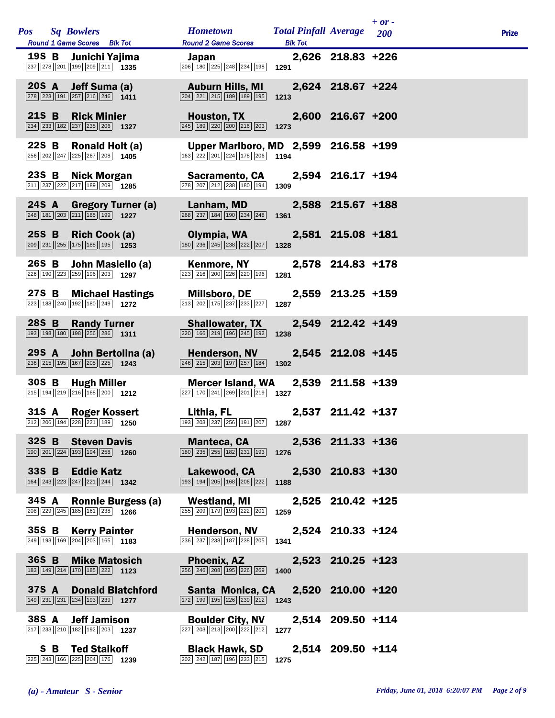|       | Pos Sq Bowlers<br>Round 1 Game Scores Blk Tot                                                                          | Hometown Total Pinfall Average 200<br><b>Round 2 Game Scores</b>                                                                          | <b>Blk Tot</b> |                   | $+$ or - | <b>Prize</b> |
|-------|------------------------------------------------------------------------------------------------------------------------|-------------------------------------------------------------------------------------------------------------------------------------------|----------------|-------------------|----------|--------------|
|       | 19S B Junichi Yajima<br>237 278 201 199 209 211 1335                                                                   | Japan<br>$\boxed{206}$ 180 225 248 234 198 1291                                                                                           |                | 2,626 218.83 +226 |          |              |
|       | 20S A Jeff Suma (a)<br>278 223 191 257 216 246 1411                                                                    | <b>Auburn Hills, MI</b><br>$\overline{ 204 }$ $\overline{ 221 }$ $\overline{ 215 }$ $\overline{ 189 }$ $\overline{ 195 }$ <b>1213</b>     |                | 2,624 218.67 +224 |          |              |
| 21S B | <b>Rick Minier</b><br>$\boxed{234}$ $\boxed{233}$ $\boxed{182}$ $\boxed{237}$ $\boxed{235}$ $\boxed{206}$ <b>1327</b>  | <b>Houston, TX Houston</b><br>$\boxed{245}$ 189 220 200 216 203 1273                                                                      |                | 2,600 216.67 +200 |          |              |
| 22S B | Ronald Holt (a)<br>256 202 247 225 267 208 1405                                                                        | Upper Marlboro, MD 2,599 216.58 +199<br>$\boxed{163}$ $\boxed{222}$ $\boxed{201}$ $\boxed{224}$ $\boxed{178}$ $\boxed{206}$ <b>1194</b>   |                |                   |          |              |
|       | 23S B Nick Morgan<br>$\boxed{211}$ $\boxed{237}$ $\boxed{222}$ $\boxed{217}$ $\boxed{189}$ $\boxed{209}$ $\boxed{205}$ | <b>Sacramento, CA</b><br>278 207 212 238 180 194                                                                                          | 1309           | 2,594 216.17 +194 |          |              |
|       | 24S A Gregory Turner (a)<br>$\boxed{248}$ 181 203 211 185 199 1227                                                     | Lanham, MD<br>$\boxed{268}$ $\boxed{237}$ $\boxed{184}$ $\boxed{190}$ $\boxed{234}$ $\boxed{248}$                                         | 1361           | 2,588 215.67 +188 |          |              |
| 25S B | Rich Cook (a)<br>$\boxed{209}$ $\boxed{231}$ $\boxed{255}$ $\boxed{175}$ $\boxed{188}$ $\boxed{195}$ <b>1253</b>       | Olympia, WA<br>$\boxed{180}$ $\boxed{236}$ $\boxed{245}$ $\boxed{238}$ $\boxed{222}$ $\boxed{207}$ <b>1328</b>                            |                | 2,581 215.08 +181 |          |              |
| 26S B | John Masiello (a)<br>226 190 223 259 196 203 1297                                                                      | <b>Kenmore, NY</b><br>223 216 200 226 220 196                                                                                             | 1281           | 2,578 214.83 +178 |          |              |
|       | 27S B Michael Hastings<br>223 188 240 192 180 249 1272                                                                 | <b>Millsboro, DE</b><br>213 202 175 237 233 227                                                                                           | 1287           | 2,559 213.25 +159 |          |              |
| 28S B | <b>Randy Turner</b><br>193 198 180 198 256 286 1311                                                                    | <b>Shallowater, TX</b><br>$\boxed{220}$ 166 219 196 245 192                                                                               | 1238           | 2,549 212.42 +149 |          |              |
|       | 29S A John Bertolina (a)<br>236 215 195 167 205 225 1243                                                               | <b>Henderson, NV</b><br>$\overline{246}$ $\overline{215}$ $\overline{203}$ $\overline{197}$ $\overline{257}$ $\overline{184}$ <b>1302</b> |                | 2,545 212.08 +145 |          |              |
|       | 30S B Hugh Miller<br>$\boxed{215}$ 194 219 216 168 200 1212                                                            | <b>Mercer Island, WA</b><br>$\boxed{227}$ 170 $\boxed{241}$ $\boxed{269}$ $\boxed{201}$ $\boxed{219}$ 1327                                |                | 2,539 211.58 +139 |          |              |
|       | 31S A Roger Kossert<br>212 206 194 228 221 189 1250                                                                    | Lithia, FL<br>193 203 237 256 191 207 1287                                                                                                |                | 2,537 211.42 +137 |          |              |
|       | 32S B Steven Davis<br>$\boxed{190}$ $\boxed{201}$ $\boxed{224}$ $\boxed{193}$ $\boxed{194}$ $\boxed{258}$ <b>1260</b>  | <b>Manteca, CA</b><br>180 235 255 182 231 193 1276                                                                                        |                | 2,536 211.33 +136 |          |              |
|       | 33S B Eddie Katz<br>164 243 223 247 221 244 1342                                                                       | Lakewood, CA<br>$\boxed{193}$ $\boxed{194}$ $\boxed{205}$ $\boxed{168}$ $\boxed{206}$ $\boxed{222}$                                       | 1188           | 2,530 210.83 +130 |          |              |
| 34S A | <b>Ronnie Burgess (a)</b><br>208 229 245 185 161 238 1266                                                              | <b>Westland, MI</b><br>255 209 179 193 222 201                                                                                            | 1259           | 2,525 210.42 +125 |          |              |
| 35S B | <b>Kerry Painter</b><br>249 193 169 204 203 165 1183                                                                   | <b>Henderson, NV</b><br>236 237 238 187 238 205                                                                                           | 1341           | 2,524 210.33 +124 |          |              |
| 36S B | <b>Mike Matosich</b><br>183 149 214 170 185 222 1123                                                                   | <b>Phoenix, AZ</b><br>256 246 208 195 226 269                                                                                             | 1400           | 2,523 210.25 +123 |          |              |
| 37S A | <b>Donald Blatchford</b><br>$\boxed{149}$ $\boxed{231}$ $\boxed{234}$ $\boxed{193}$ $\boxed{239}$ <b>1277</b>          | Santa Monica, CA 2,520 210.00 +120<br>$\boxed{172}$ $\boxed{199}$ $\boxed{195}$ $\boxed{226}$ $\boxed{239}$ $\boxed{212}$ <b>1243</b>     |                |                   |          |              |
| 38S A | <b>Jeff Jamison</b><br>$\boxed{217}$ $\boxed{233}$ $\boxed{210}$ $\boxed{182}$ $\boxed{192}$ $\boxed{203}$ <b>1237</b> | <b>Boulder City, NV</b><br>227 203 213 200 222 212                                                                                        | 1277           | 2,514 209.50 +114 |          |              |
|       | <b>S B Ted Staikoff</b><br>225 243 166 225 204 176 1239                                                                | <b>Black Hawk, SD</b><br>202 242 187 196 233 215                                                                                          | 1275           | 2,514 209.50 +114 |          |              |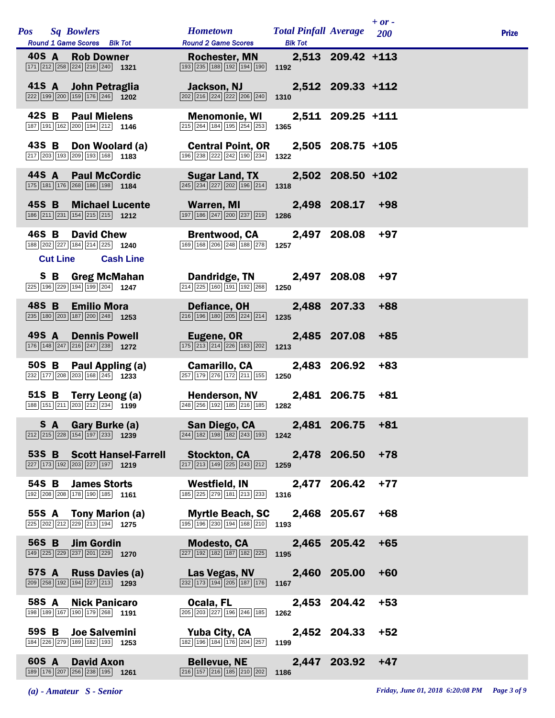| Pos Sq Bowlers |                 |                                                                                                 | <b>Hometown</b>                                                                                                            | <b>Total Pinfall Average</b> |                   | $+ or -$<br>200 | <b>Prize</b> |
|----------------|-----------------|-------------------------------------------------------------------------------------------------|----------------------------------------------------------------------------------------------------------------------------|------------------------------|-------------------|-----------------|--------------|
| 40S A          |                 | Round 1 Game Scores Blk Tot<br><b>Rob Downer</b><br>171 212 258 224 216 240 1321                | <b>Round 2 Game Scores</b><br><b>Rochester, MN</b><br>$\boxed{193}\boxed{235}\boxed{188}\boxed{192}\boxed{194}\boxed{190}$ | <b>Blk Tot</b><br>1192       | 2,513 209.42 +113 |                 |              |
|                |                 | 41S A John Petraglia<br>222 199 200 159 176 246 1202                                            | Jackson, NJ<br>$\boxed{202}$ $\boxed{216}$ $\boxed{224}$ $\boxed{222}$ $\boxed{206}$ $\boxed{240}$                         | 1310                         | 2,512 209.33 +112 |                 |              |
| 42S B          |                 | <b>Paul Mielens</b><br>187 191 162 200 194 212 1146                                             | <b>Menomonie, WI</b><br>215 264 184 195 254 253                                                                            |                              | 2,511 209.25 +111 |                 |              |
| 43S B          |                 | Don Woolard (a)                                                                                 | <b>Central Point, OR</b>                                                                                                   | 1365                         | 2,505 208.75 +105 |                 |              |
| 44S A          |                 | 217 203 193 209 193 168 1183<br><b>Paul McCordic</b>                                            | 196 238 222 242 190 234<br><b>Sugar Land, TX</b>                                                                           | 1322                         | 2,502 208.50 +102 |                 |              |
| 45S B          |                 | 175 181 176 268 186 198 1184<br><b>Michael Lucente</b>                                          | $\boxed{245}$ $\boxed{234}$ $\boxed{227}$ $\boxed{202}$ $\boxed{196}$ $\boxed{214}$<br>Warren, MI                          | 1318                         | 2,498 208.17      | $+98$           |              |
|                |                 | 186 211 231 154 215 215 1212                                                                    | 197 186 247 200 237 219                                                                                                    | 1286                         |                   |                 |              |
| 46S B          | <b>Cut Line</b> | <b>David Chew</b><br>188 202 227 184 214 225 1240<br><b>Cash Line</b>                           | <b>Brentwood, CA</b><br>169 168 206 248 188 278                                                                            | 1257                         | 2,497 208.08      | $+97$           |              |
|                |                 | <b>S B Greg McMahan</b><br>225 196 229 194 199 204 1247                                         | Dandridge, TN<br>$\boxed{214}$ $\boxed{225}$ $\boxed{160}$ $\boxed{191}$ $\boxed{192}$ $\boxed{268}$                       | 1250                         | 2,497 208.08      | $+97$           |              |
| 48S B          |                 | <b>Emilio Mora</b><br>235 180 203 187 200 248 1253                                              | Defiance, OH<br>216 196 180 205 224 214                                                                                    | 1235                         | 2,488 207.33      | $+88$           |              |
| 49S A          |                 | <b>Dennis Powell</b><br>176 148 247 216 247 238 1272                                            | Eugene, OR<br>175 213 214 226 183 202                                                                                      | 1213                         | 2,485 207.08      | $+85$           |              |
| 50S B          |                 | Paul Appling (a)<br>$\boxed{232}$ 177 208 203 168 245 1233                                      | <b>Camarillo, CA</b><br>257 179 276 172 211 155                                                                            | 1250                         | 2,483 206.92      | $+83$           |              |
| 51S B          |                 | Terry Leong (a)<br>188 151 211 203 212 234 1199                                                 | <b>Henderson, NV</b><br>248 256 192 185 216 185                                                                            | 1282                         | 2,481 206.75      | $+81$           |              |
|                |                 | S A Gary Burke (a)<br>$\boxed{212}\boxed{215}\boxed{228}\boxed{154}\boxed{197}\boxed{233}$ 1239 | San Diego, CA 2,481 206.75 +81<br>244 182 198 182 243 193                                                                  | 1242                         |                   |                 |              |
|                |                 | 53S B Scott Hansel-Farrell<br>$\boxed{227}$ 173 192 203 227 197 1219                            | <b>Stockton, CA</b><br>217 213 149 225 243 212                                                                             | 1259                         | 2,478 206.50      | $+78$           |              |
|                |                 | 54S B James Storts<br>192 208 208 178 190 185 1161                                              | Westfield, IN<br>185 225 279 181 213 233                                                                                   | 1316                         | 2,477 206.42      | $+77$           |              |
|                |                 | 55S A Tony Marion (a)<br>225 202 212 229 213 194 1275                                           | <b>Myrtle Beach, SC</b><br>195 196 230 194 168 210                                                                         | 1193                         | 2,468 205.67      | $+68$           |              |
| 56S B          |                 | <b>Jim Gordin</b><br>149 225 229 237 201 229 1270                                               | <b>Modesto, CA</b><br>$\boxed{227}$ $\boxed{192}$ $\boxed{182}$ $\boxed{187}$ $\boxed{182}$ $\boxed{225}$                  | 1195                         | 2,465 205.42      | $+65$           |              |
| 57S A          |                 | <b>Russ Davies (a)</b><br>209 258 192 194 227 213 1293                                          | Las Vegas, NV<br>232 173 194 205 187 176                                                                                   | 1167                         | 2,460 205.00      | $+60$           |              |
| 58S A          |                 | <b>Nick Panicaro</b><br>198 189 167 190 179 268 1191                                            | Ocala, FL<br>205 203 227 196 246 185                                                                                       | 1262                         | 2,453 204.42      | $+53$           |              |
| 59S B          |                 | <b>Joe Salvemini</b><br>184 226 279 189 182 193 1253                                            | Yuba City, CA<br>182 196 184 176 204 257                                                                                   | 1199                         | 2,452 204.33      | $+52$           |              |
| 60S A          |                 | <b>David Axon</b><br>189 176 207 256 238 195 1261                                               | <b>Bellevue, NE</b><br>$\boxed{216}$ $\boxed{157}$ $\boxed{216}$ $\boxed{185}$ $\boxed{210}$ $\boxed{202}$                 | 1186                         | 2,447 203.92      | $+47$           |              |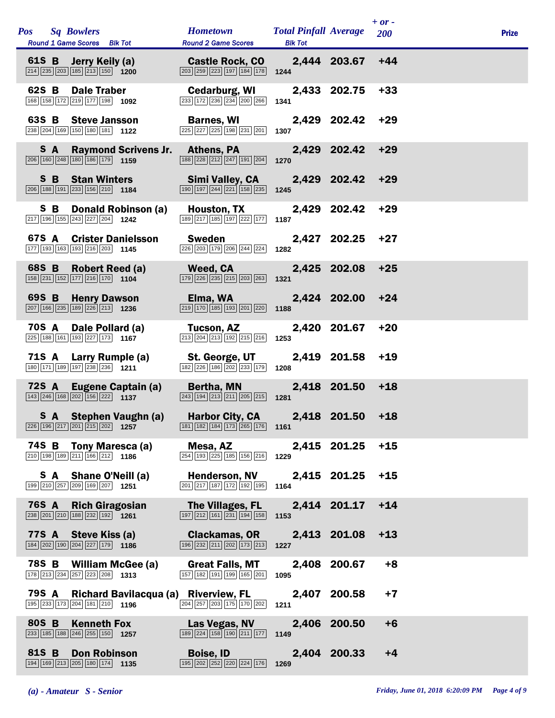|              | Pos Sq Bowlers<br>Round 1 Game Scores Blk Tot                                                                                |                             | <b>Hometown</b><br><b>Round 2 Game Scores</b>                                                                      | <b>Total Pinfall Average</b><br><b>Blk Tot</b> |              | $+ or -$<br>200 | <b>Prize</b> |
|--------------|------------------------------------------------------------------------------------------------------------------------------|-----------------------------|--------------------------------------------------------------------------------------------------------------------|------------------------------------------------|--------------|-----------------|--------------|
|              | 61S B Jerry Keily (a)<br>$\boxed{214}$ $\boxed{235}$ $\boxed{203}$ $\boxed{185}$ $\boxed{213}$ $\boxed{150}$ <b>1200</b>     |                             | <b>Castle Rock, CO</b><br>$\boxed{203}$ $\boxed{259}$ $\boxed{223}$ $\boxed{197}$ $\boxed{184}$ $\boxed{178}$ 1244 |                                                | 2,444 203.67 | $+44$           |              |
| 62S B        | <b>Dale Traber</b><br>168 158 172 219 177 198 1092                                                                           |                             | Cedarburg, WI<br>233 172 236 234 200 266                                                                           | 1341                                           | 2,433 202.75 | $+33$           |              |
|              | 63S B Steve Jansson<br>238 204 169 150 180 181 122                                                                           |                             | <b>Barnes, WI</b><br>225 227 225 198 231 201                                                                       | 1307                                           | 2,429 202.42 | +29             |              |
| SA –         | $\boxed{206}$ 160 $\boxed{248}$ 180 186 179 1159                                                                             | <b>Raymond Scrivens Jr.</b> | <b>Athens, PA</b><br>$\boxed{188}$ $\boxed{228}$ $\boxed{212}$ $\boxed{247}$ $\boxed{191}$ $\boxed{204}$           | 1270                                           | 2,429 202.42 | $+29$           |              |
|              | <b>S B Stan Winters</b><br>$\boxed{206}$ 188 191 233 156 210 1184                                                            |                             | Simi Valley, CA<br>$\boxed{190}$ $\boxed{197}$ $\boxed{244}$ $\boxed{221}$ $\boxed{158}$ $\boxed{235}$ <b>1245</b> |                                                | 2,429 202.42 | +29             |              |
| S B          | 217 196 155 243 227 204 1242                                                                                                 | Donald Robinson (a)         | <b>Houston, TX</b><br>189 217 185 197 222 177                                                                      | 1187                                           | 2,429 202.42 | $+29$           |              |
| 67S A        | <b>Crister Danielsson</b><br>$\boxed{177}$ $\boxed{193}$ $\boxed{163}$ $\boxed{193}$ $\boxed{216}$ $\boxed{203}$ 1145        |                             | Sweden<br>226 203 179 206 244 224                                                                                  | 1282                                           | 2,427 202.25 | +27             |              |
| 68S B        | <b>Robert Reed (a)</b><br>$\boxed{158}$ $\boxed{231}$ $\boxed{152}$ $\boxed{177}$ $\boxed{216}$ $\boxed{170}$ <b>1104</b>    |                             | Weed, CA<br>179 226 235 215 203 263                                                                                | 1321                                           | 2,425 202.08 | $+25$           |              |
| 69S B        | <b>Henry Dawson</b><br>$\boxed{207}$ 166 235 189 226 213 1236                                                                |                             | Elma, WA<br>$\boxed{219}$ 170 185 193 201 220 1188                                                                 |                                                | 2,424 202.00 | $+24$           |              |
| 70S A        | Dale Pollard (a)<br>225 188 161 193 227 173 1167                                                                             |                             | Tucson, AZ<br>$\boxed{213}$ $\boxed{204}$ $\boxed{213}$ $\boxed{192}$ $\boxed{215}$ $\boxed{216}$                  | 1253                                           | 2,420 201.67 | $+20$           |              |
|              | 71S A Larry Rumple (a)<br>$\boxed{180}$ $\boxed{171}$ $\boxed{189}$ $\boxed{197}$ $\boxed{238}$ $\boxed{236}$ $\boxed{1211}$ |                             | St. George, UT<br>182 226 186 202 233 179                                                                          | 1208                                           | 2,419 201.58 | $+19$           |              |
|              | $\boxed{143}$ $\boxed{246}$ $\boxed{168}$ $\boxed{202}$ $\boxed{156}$ $\boxed{222}$ <b>1137</b>                              | 72S A Eugene Captain (a)    | Bertha, MN<br>$\boxed{243}$ $\boxed{194}$ $\boxed{213}$ $\boxed{211}$ $\boxed{205}$ $\boxed{215}$                  | 1281                                           | 2,418 201.50 | $+18$           |              |
|              | $ 226   196   217   201   215   202 $ <b>1257</b>                                                                            |                             | S A Stephen Vaughn (a) Harbor City, CA<br>181 182 184 173 265 176 1161                                             |                                                | 2,418 201.50 | $+18$           |              |
| 74S B        | Tony Maresca (a)<br>210 198 189 211 166 212 1186                                                                             |                             | Mesa, AZ<br>254 193 225 185 156 216                                                                                | 1229                                           | 2,415 201.25 | $+15$           |              |
| SA.          | Shane O'Neill (a)<br>199 210 257 209 169 207 1251                                                                            |                             | <b>Henderson, NV</b><br>201 217 187 172 192 195                                                                    | 1164                                           | 2,415 201.25 | $+15$           |              |
| <b>76S A</b> | <b>Rich Giragosian</b><br>$\sqrt{238}\sqrt{201}\sqrt{210}\sqrt{188}\sqrt{232}\sqrt{192}\$ 1261                               |                             | The Villages, FL<br>197 212 161 231 194 158                                                                        | 1153                                           | 2,414 201.17 | $+14$           |              |
| <b>77S A</b> | Steve Kiss (a)<br>184 202 190 204 227 179 1186                                                                               |                             | <b>Clackamas, OR</b><br>196 232 211 202 173 213                                                                    | 1227                                           | 2,413 201.08 | $+13$           |              |
| 78S B        | <b>William McGee (a)</b><br>178 213 234 257 223 208 1313                                                                     |                             | <b>Great Falls, MT</b><br>157 182 191 199 165 201                                                                  | 1095                                           | 2,408 200.67 | $+8$            |              |
| 79S A        | 195 233 173 204 181 210 1196                                                                                                 |                             | Richard Bavilacqua (a) Riverview, FL<br>204 257 203 175 170 202                                                    | 1211                                           | 2,407 200.58 | $+7$            |              |
| 80S B        | <b>Kenneth Fox</b><br>233 185 188 246 255 150 1257                                                                           |                             | Las Vegas, NV<br>189 224 158 190 211 177                                                                           | 1149                                           | 2,406 200.50 | $+6$            |              |
| 81S B        | <b>Don Robinson</b><br>194 169 213 205 180 174 1135                                                                          |                             | <b>Boise, ID</b><br>195 202 252 220 224 176                                                                        | 1269                                           | 2,404 200.33 | $+4$            |              |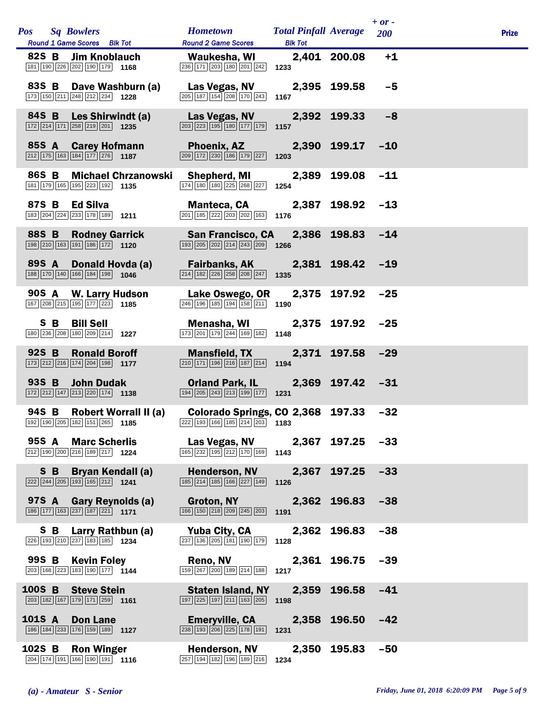| Pos Sq Bowlers<br>Round 1 Game Scores Blk Tot                                                                              | <b>Hometown</b><br><b>Round 2 Game Scores</b>                                                                                                  | <b>Total Pinfall Average</b><br><b>Blk Tot</b> |                  | $+ or -$<br><b>200</b> | <b>Prize</b> |
|----------------------------------------------------------------------------------------------------------------------------|------------------------------------------------------------------------------------------------------------------------------------------------|------------------------------------------------|------------------|------------------------|--------------|
| 82S B Jim Knoblauch<br>181 190 226 202 190 179 1168                                                                        | Waukesha, WI<br>$\boxed{236}$ $\boxed{171}$ $\boxed{203}$ $\boxed{180}$ $\boxed{201}$ $\boxed{242}$ <b>1233</b>                                |                                                | 2,401 200.08     | $+1$                   |              |
| 83S B Dave Washburn (a)<br>173 150 211 248 212 234 1228                                                                    | 205 187 154 208 170 243                                                                                                                        | 1167                                           |                  | $-5$                   |              |
| 84S B Les Shirwindt (a)<br>$\boxed{172}$ $\boxed{214}$ $\boxed{171}$ $\boxed{258}$ $\boxed{219}$ $\boxed{201}$ <b>1235</b> | Las Vegas, NV<br>$\boxed{203}$ $\boxed{223}$ $\boxed{195}$ $\boxed{180}$ $\boxed{177}$ $\boxed{179}$                                           | 1157                                           | 2,392 199.33     | $-8$                   |              |
| 85S A Carey Hofmann<br>$\boxed{212}$ 175 163 184 177 276 1187                                                              | <b>Phoenix, AZ</b><br>$\boxed{209}$ $\boxed{172}$ $\boxed{230}$ $\boxed{186}$ $\boxed{179}$ $\boxed{227}$ <b>1203</b>                          |                                                | 2,390 199.17     | $-10$                  |              |
| 86S B Michael Chrzanowski<br>181 179 165 195 223 192 1135                                                                  | Shepherd, MI<br>174 180 180 225 268 227                                                                                                        | 1254                                           | 2,389 199.08     | $-11$                  |              |
| 87S B Ed Silva<br>$\boxed{183}$ $\boxed{204}$ $\boxed{224}$ $\boxed{233}$ $\boxed{178}$ $\boxed{189}$ <b>1211</b>          | Manteca, CA 2,387 198.92 -13<br>$\boxed{201}$ $\boxed{185}$ $\boxed{222}$ $\boxed{203}$ $\boxed{202}$ $\boxed{163}$                            | 1176                                           |                  |                        |              |
| 88S B Rodney Garrick<br>$\boxed{198}\boxed{210}\boxed{163}\boxed{191}\boxed{186}\boxed{172}$ 1120                          | $\boxed{193}$ $\boxed{205}$ $\boxed{202}$ $\boxed{214}$ $\boxed{243}$ $\boxed{209}$ <b>1266</b>                                                |                                                |                  | $-14$                  |              |
| 89S A<br>Donald Hovda (a)<br>$\boxed{188}\boxed{170}\boxed{140}\boxed{166}\boxed{184}\boxed{198}$ 1046                     | Fairbanks, AK 2,381 198.42 -19<br>$\boxed{214}$ $\boxed{182}$ $\boxed{226}$ $\boxed{258}$ $\boxed{208}$ $\boxed{247}$ <b>1335</b>              |                                                |                  |                        |              |
| 90S A W. Larry Hudson<br>167 208 215 195 177 223 1185                                                                      | Lake Oswego, OR 2,375 197.92<br>$\overline{246}$ 196 185 194 158 211 190                                                                       |                                                |                  | $-25$                  |              |
| S B Bill Sell<br>180 236 208 180 209 214 1227                                                                              | <b>Menasha, WI</b><br>$\boxed{173}$ $\boxed{201}$ $\boxed{179}$ $\boxed{244}$ $\boxed{169}$ $\boxed{182}$ <b>1148</b>                          |                                                | 2,375 197.92     | $-25$                  |              |
| 92S B<br><b>Ronald Boroff</b><br>173 212 216 174 204 198 1177                                                              | <b>Mansfield, TX</b><br>$\boxed{210}$ 171 196 216 187 214 194                                                                                  |                                                | 2,371 197.58     | $-29$                  |              |
| 93S B John Dudak<br>$\boxed{172}$ $\boxed{212}$ $\boxed{147}$ $\boxed{213}$ $\boxed{220}$ $\boxed{174}$ <b>1138</b>        | <b>Orland Park, IL</b><br>$\boxed{194}$ $\boxed{205}$ $\boxed{243}$ $\boxed{213}$ $\boxed{199}$ $\boxed{177}$                                  | 1231                                           | 2,369 197.42 -31 |                        |              |
| 94S B Robert Worrall II (a)<br>192 190 205 182 151 265 1185                                                                | Colorado Springs, CO 2,368 197.33 -32<br>222 193 166 185 214 203 1183                                                                          |                                                |                  |                        |              |
| 95S A Marc Scherlis<br>$\boxed{212}$ 190 $\boxed{200}$ $\boxed{216}$ 189 $\boxed{217}$ 1224                                | Las Vegas, NV 2,367 197.25 -33<br>$\boxed{165}$ $\boxed{232}$ $\boxed{195}$ $\boxed{212}$ $\boxed{170}$ $\boxed{169}$ 1143                     |                                                |                  |                        |              |
| <b>S</b> B Bryan Kendall (a)<br>$\boxed{222}\boxed{244}\boxed{205}\boxed{193}\boxed{165}\boxed{212}$ 1241                  | Henderson, NV 2,367 197.25 -33<br>$\boxed{185}$ $\boxed{214}$ $\boxed{185}$ $\boxed{166}$ $\boxed{227}$ $\boxed{149}$ 1126                     |                                                |                  |                        |              |
| 97S A Gary Reynolds (a)<br>$\boxed{186}$ $\boxed{177}$ $\boxed{163}$ $\boxed{237}$ $\boxed{187}$ $\boxed{221}$ <b>1171</b> | Groton, NY 2,362 196.83 -38<br>$\boxed{166}$ $\boxed{150}$ $\boxed{218}$ $\boxed{209}$ $\boxed{245}$ $\boxed{203}$ <b>1191</b>                 |                                                |                  |                        |              |
| <b>S B</b> Larry Rathbun (a)<br>$\boxed{226}$ 193 210 237 183 185 1234                                                     | Yuba City, CA 2,362 196.83 -38<br>$\frac{237}{[136] [205] [181] [190] [179]}$ 1128                                                             |                                                |                  |                        |              |
| 99S B Kevin Foley<br>$\boxed{203}$ 168 $\boxed{223}$ 183 190 177 1144                                                      | Reno, NV 2,361 196.75 -39<br>$\overline{159}$ $\overline{267}$ $\overline{200}$ $\overline{189}$ $\overline{214}$ $\overline{188}$ <b>1217</b> |                                                |                  |                        |              |
| 100S B Steve Stein<br>$\boxed{203}$ 182 167 179 171 259 1161                                                               | <b>Staten Island, NY</b><br>$\boxed{197}$ $\boxed{225}$ $\boxed{197}$ $\boxed{211}$ $\boxed{163}$ $\boxed{205}$                                | 1198                                           | 2,359 196.58 -41 |                        |              |
| 101S A<br>Don Lane<br>$\boxed{186}$ $\boxed{184}$ $\boxed{233}$ $\boxed{176}$ $\boxed{159}$ $\boxed{189}$ <b>1127</b>      | <b>Emeryville, CA</b><br>$\overline{238}$ 193 206 225 178 191 191                                                                              |                                                | 2,358 196.50 -42 |                        |              |
| 102S B Ron Winger<br>$\boxed{204}$ 174 191 166 190 191 1116                                                                | <b>Henderson, NV</b><br>257 194 182 196 189 216 1234                                                                                           |                                                | 2,350 195.83 -50 |                        |              |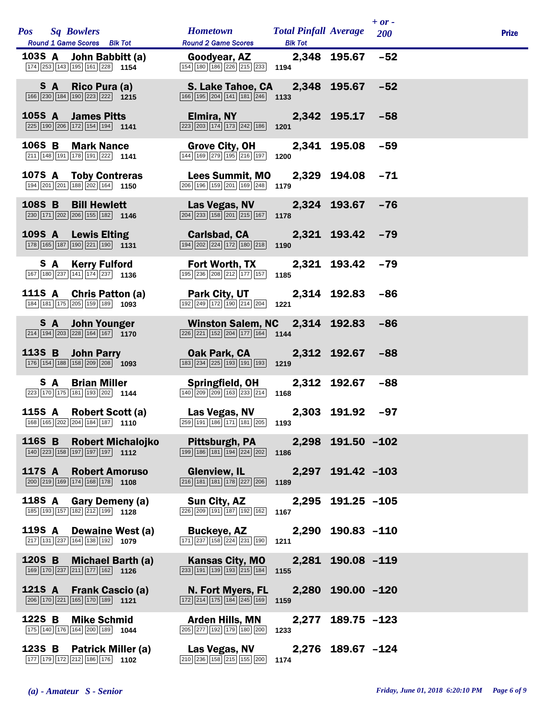|        |        | Pos Sq Bowlers                                                                                                              | <b>Hometown</b>                                                                                                                               | <b>Total Pinfall Average</b> |                   | $+ or -$<br><b>200</b> | <b>Prize</b> |  |
|--------|--------|-----------------------------------------------------------------------------------------------------------------------------|-----------------------------------------------------------------------------------------------------------------------------------------------|------------------------------|-------------------|------------------------|--------------|--|
|        |        | Round 1 Game Scores Blk Tot                                                                                                 | <b>Round 2 Game Scores</b>                                                                                                                    | <b>Blk Tot</b>               |                   |                        |              |  |
|        |        | 103S A John Babbitt (a)<br>$\boxed{174}$ $\boxed{253}$ $\boxed{143}$ $\boxed{195}$ $\boxed{161}$ $\boxed{228}$ <b>1154</b>  | Goodyear, AZ<br>154 180 186 226 215 233 1194                                                                                                  |                              | 2,348 195.67      | $-52$                  |              |  |
|        |        | S A Rico Pura (a)<br>$\boxed{166}$ $\boxed{230}$ $\boxed{184}$ $\boxed{190}$ $\boxed{223}$ $\boxed{222}$ <b>1215</b>        | S. Lake Tahoe, CA 2,348 195.67 -52<br>$\boxed{166}$ $\boxed{195}$ $\boxed{204}$ $\boxed{141}$ $\boxed{181}$ $\boxed{246}$ 1133                |                              |                   |                        |              |  |
|        |        | 105S A James Pitts<br>$\boxed{225}$ 190 $\boxed{206}$ 172 154 194 1141                                                      | <b>Elmira, NY Elmira</b><br>$\overline{223}$ $\overline{203}$ $\overline{174}$ $\overline{173}$ $\overline{242}$ $\overline{186}$ <b>1201</b> |                              | 2,342 195.17      | $-58$                  |              |  |
|        |        | 106S B Mark Nance<br>$\boxed{211}$ $\boxed{148}$ $\boxed{191}$ $\boxed{178}$ $\boxed{191}$ $\boxed{222}$ <b>1141</b>        | <b>Grove City, OH</b><br>$\boxed{144}$ $\boxed{169}$ $\boxed{279}$ $\boxed{195}$ $\boxed{216}$ $\boxed{197}$ <b>1200</b>                      |                              | 2,341 195.08      | $-59$                  |              |  |
|        |        | 107S A Toby Contreras<br>$\boxed{194}$ $\boxed{201}$ $\boxed{201}$ $\boxed{188}$ $\boxed{202}$ $\boxed{164}$ <b>1150</b>    | <b>Lees Summit, MO</b><br>$\boxed{206}$ $\boxed{196}$ $\boxed{159}$ $\boxed{201}$ $\boxed{169}$ $\boxed{248}$ 1179                            |                              | 2,329 194.08 -71  |                        |              |  |
|        |        | 108S B Bill Hewlett<br>$\boxed{230}$ 171 $\boxed{202}$ $\boxed{206}$ 155 182 1146                                           | Las Vegas, NV 2,324 193.67<br>$\boxed{204}$ $\boxed{233}$ $\boxed{158}$ $\boxed{201}$ $\boxed{215}$ $\boxed{167}$                             | 1178                         |                   | $-76$                  |              |  |
|        |        | 109S A Lewis Elting<br>$\boxed{178}$ $\boxed{165}$ $\boxed{187}$ $\boxed{190}$ $\boxed{221}$ $\boxed{190}$ <b>1131</b>      | Carlsbad, CA 2,321 193.42 -79<br>$\boxed{194}$ $\boxed{202}$ $\boxed{224}$ $\boxed{172}$ $\boxed{180}$ $\boxed{218}$ 1190                     |                              |                   |                        |              |  |
|        |        | <b>S A Kerry Fulford</b><br>$\boxed{167}$ $\boxed{180}$ $\boxed{237}$ $\boxed{141}$ $\boxed{174}$ $\boxed{237}$ <b>1136</b> | <b>Fort Worth, TX</b><br>195 236 208 212 177 157                                                                                              | 1185                         | 2,321 193.42      | $-79$                  |              |  |
|        |        | 111S A Chris Patton (a)<br>184 181 175 205 159 189 1093                                                                     | <b>Park City, UT</b><br>$\boxed{192}$ $\boxed{249}$ $\boxed{172}$ $\boxed{190}$ $\boxed{214}$ $\boxed{204}$                                   | 1221                         | 2,314 192.83      | $-86$                  |              |  |
|        |        | <b>S</b> A John Younger<br>$\boxed{214}$ $\boxed{194}$ $\boxed{203}$ $\boxed{228}$ $\boxed{164}$ $\boxed{167}$ <b>1170</b>  | Winston Salem, NC 2,314 192.83<br>$\boxed{226}\boxed{221}\boxed{152}\boxed{204}\boxed{177}\boxed{164}$ 1144                                   |                              |                   | $-86$                  |              |  |
|        |        | 113S B John Parry<br>$\boxed{176}$ $\boxed{154}$ $\boxed{188}$ $\boxed{158}$ $\boxed{209}$ $\boxed{208}$ <b>1093</b>        | Oak Park, CA<br>$\boxed{183}$ $\boxed{234}$ $\boxed{225}$ $\boxed{193}$ $\boxed{191}$ $\boxed{193}$ <b>1219</b>                               |                              | 2,312 192.67      | $-88$                  |              |  |
|        |        | <b>S</b> A Brian Miller<br>$\boxed{223}$ 170 175 181 193 202 1144                                                           | <b>Springfield, OH</b><br>$\boxed{140}$ $\boxed{209}$ $\boxed{209}$ $\boxed{163}$ $\boxed{233}$ $\boxed{214}$ <b>1168</b>                     |                              | 2,312 192.67      | $-88$                  |              |  |
|        |        | 115S A Robert Scott (a)<br>168 165 202 204 184 187 1110                                                                     | Las Vegas, NV 2,303 191.92 -97<br>259 191 186 171 181 205                                                                                     | 1193                         |                   |                        |              |  |
|        |        | 116S B Robert Michalojko<br>$\boxed{140}$ $\boxed{223}$ $\boxed{158}$ $\boxed{197}$ $\boxed{197}$ $\boxed{197}$ <b>1112</b> | <b>Pittsburgh, PA</b><br>$\boxed{199}$ $\boxed{186}$ $\boxed{181}$ $\boxed{194}$ $\boxed{224}$ $\boxed{202}$ 1186                             |                              | 2,298 191.50 -102 |                        |              |  |
|        |        | 117S A Robert Amoruso<br>$\boxed{200}$ $\boxed{219}$ $\boxed{169}$ $\boxed{174}$ $\boxed{168}$ $\boxed{178}$ <b>1108</b>    | <b>Glenview, IL</b><br>$\boxed{216}$ 181 181 178 227 206 1189                                                                                 |                              | 2,297 191.42 -103 |                        |              |  |
|        | 118S A | Gary Demeny (a)<br>$\boxed{185}$ $\boxed{193}$ $\boxed{157}$ $\boxed{182}$ $\boxed{212}$ $\boxed{199}$ <b>1128</b>          | Sun City, AZ<br>226 209 191 187 192 162                                                                                                       | 1167                         | 2,295 191.25 -105 |                        |              |  |
|        | 119S A | Dewaine West (a)<br>217 131 237 164 138 192 1079                                                                            | <b>Buckeye, AZ</b><br>171 237 158 224 231 190                                                                                                 | 1211                         | 2,290 190.83 -110 |                        |              |  |
| 120S B |        | <b>Michael Barth (a)</b><br>169 170 237 211 177 162 1126                                                                    | <b>Kansas City, MO</b><br>$\boxed{233}$ $\boxed{191}$ $\boxed{139}$ $\boxed{193}$ $\boxed{215}$ $\boxed{184}$                                 | 1155                         | 2,281 190.08 -119 |                        |              |  |
|        | 121S A | <b>Frank Cascio (a)</b><br>206 170 221 165 170 189 1121                                                                     | N. Fort Myers, FL<br>172 214 175 184 245 169                                                                                                  | 1159                         | 2,280 190.00 -120 |                        |              |  |
| 122S B |        | <b>Mike Schmid</b><br>175 140 176 164 200 189 1044                                                                          | <b>Arden Hills, MN</b><br>205 277 192 179 180 200                                                                                             | 2,277<br>1233                | $189.75 - 123$    |                        |              |  |
|        |        | 123S B Patrick Miller (a)<br>177 179 172 212 186 176 1102                                                                   | Las Vegas, NV<br>210 236 158 215 155 200                                                                                                      | 1174                         | 2,276 189.67 -124 |                        |              |  |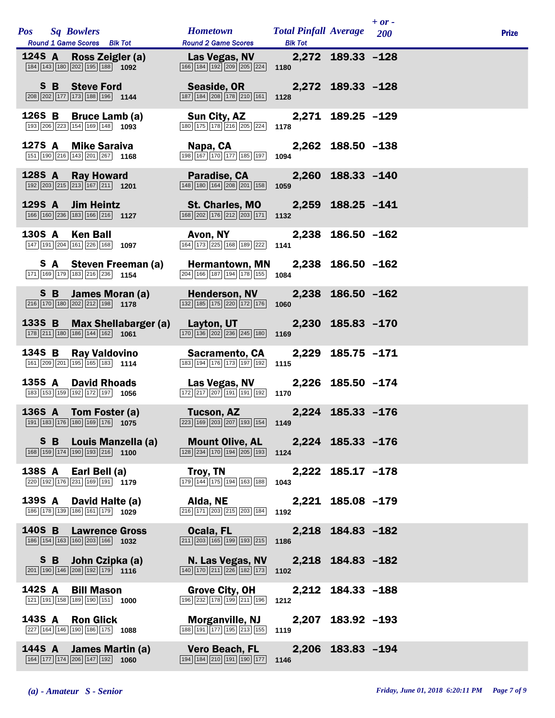| <b>Pos</b> Sq Bowlers<br>Round 1 Game Scores Blk Tot                                                                           | <b>Hometown</b><br><b>Round 2 Game Scores</b>                                                                 | <b>Total Pinfall Average</b> 200<br><b>Blk Tot</b> |                   | $+$ or - | <b>Prize</b> |
|--------------------------------------------------------------------------------------------------------------------------------|---------------------------------------------------------------------------------------------------------------|----------------------------------------------------|-------------------|----------|--------------|
| 124S A Ross Zeigler (a)<br>184 143 180 202 195 188 1092                                                                        | Las Vegas, NV<br>166 184 192 209 205 224                                                                      | 1180                                               | 2,272 189.33 -128 |          |              |
| S B Steve Ford<br>$\boxed{208}$ $\boxed{202}$ 177 173 188 196 1144                                                             | Seaside, OR<br>187 184 208 178 210 161                                                                        | 1128                                               | 2,272 189.33 -128 |          |              |
| 126S B Bruce Lamb (a)<br>193 206 223 154 169 148 1093                                                                          | Sun City, AZ<br>$\boxed{180} \ \boxed{175} \ \boxed{178} \ \boxed{216} \ \boxed{205} \ \boxed{224}$           | 1178                                               | 2,271 189.25 -129 |          |              |
| 127S A Mike Saraiva<br>151 190 216 143 201 267 1168                                                                            | Napa, CA<br>198 167 170 177 185 197                                                                           | 1094                                               | 2,262 188.50 -138 |          |              |
| 128S A Ray Howard<br>$\boxed{192}$ $\boxed{203}$ $\boxed{215}$ $\boxed{213}$ $\boxed{167}$ $\boxed{211}$ <b>1201</b>           | Paradise, CA<br>148 180 164 208 201 158                                                                       | 1059                                               | 2,260 188.33 -140 |          |              |
| 129S A Jim Heintz<br>166 160 236 183 166 216 1127                                                                              | <b>St. Charles, MO</b><br>$\boxed{168}$ $\boxed{202}$ $\boxed{176}$ $\boxed{212}$ $\boxed{203}$ $\boxed{171}$ | 1132                                               | 2,259 188.25 -141 |          |              |
| 130S A<br>Ken Ball<br>147 191 204 161 226 168 1097                                                                             | Avon, NY<br>164 173 225 168 189 222                                                                           | 1141                                               | 2,238 186.50 -162 |          |              |
| S A Steven Freeman (a)<br>171 169 179 183 216 236 1154                                                                         | <b>Hermantown, MN</b><br>204 166 187 194 178 155                                                              | 1084                                               | 2,238 186.50 -162 |          |              |
| S B James Moran (a)<br>$\boxed{216}$ 170 180 202 212 198 1178                                                                  | <b>Henderson, NV</b><br>$\boxed{132}$ $\boxed{185}$ $\boxed{175}$ $\boxed{220}$ $\boxed{172}$ $\boxed{176}$   | 1060                                               | 2,238 186.50 -162 |          |              |
| 133S B Max Shellabarger (a)<br>$\boxed{178}$ $\boxed{211}$ $\boxed{180}$ $\boxed{186}$ $\boxed{144}$ $\boxed{162}$ <b>1061</b> | <b>Layton, UT</b><br>$\boxed{170}$ $\boxed{136}$ $\boxed{202}$ $\boxed{236}$ $\boxed{245}$ $\boxed{180}$      | 1169                                               | 2,230 185.83 -170 |          |              |
| 134S B<br>Ray Valdovino<br>161 209 201 195 165 183 1114                                                                        | <b>Sacramento, CA</b><br>183 194 176 173 197 192                                                              | 1115                                               | 2,229 185.75 -171 |          |              |
| 135S A David Rhoads<br>183 153 159 192 172 197 1056                                                                            | Las Vegas, NV<br>$\boxed{172}$ $\boxed{217}$ $\boxed{207}$ $\boxed{191}$ $\boxed{191}$ $\boxed{192}$          | 1170                                               | 2,226 185.50 -174 |          |              |
| 136S A Tom Foster (a)<br>191 183 176 180 169 176 1075                                                                          | Tucson, AZ<br>$223$ 169 203 207 193 154 1149                                                                  |                                                    | 2,224 185.33 -176 |          |              |
| <b>S B</b> Louis Manzella (a)<br>168 159 174 190 193 216 1100                                                                  | <b>Mount Olive, AL</b><br>$\boxed{128}\boxed{234}\boxed{170}\boxed{194}\boxed{205}\boxed{193}$                | 1124                                               | 2,224 185.33 -176 |          |              |
| 138S A Earl Bell (a)<br>220 192 176 231 169 191 1179                                                                           | Troy, TN<br>179 144 175 194 163 188                                                                           | 1043                                               | 2,222 185.17 -178 |          |              |
| 139S A<br>David Halte (a)<br>186 178 139 186 161 179 1029                                                                      | Alda, NE<br>$\boxed{216}$ $\boxed{171}$ $\boxed{203}$ $\boxed{215}$ $\boxed{203}$ $\boxed{184}$               | 1192                                               | 2,221 185.08 -179 |          |              |
| 140S B<br><b>Lawrence Gross</b><br>186 154 163 160 203 166 1032                                                                | Ocala, FL<br>$\boxed{211}$ $\boxed{203}$ $\boxed{165}$ $\boxed{199}$ $\boxed{193}$ $\boxed{215}$              | 1186                                               | 2,218 184.83 -182 |          |              |
| S B John Czipka (a)<br>$\boxed{201}$ 190 $\boxed{146}$ $\boxed{208}$ 192 $\boxed{179}$ 1116                                    | N. Las Vegas, NV<br>$\boxed{140}$ $\boxed{170}$ $\boxed{211}$ $\boxed{226}$ $\boxed{182}$ $\boxed{173}$       | 1102                                               | 2,218 184.83 -182 |          |              |
| 142S A<br><b>Bill Mason</b><br>121 191 158 189 190 151 1000                                                                    | <b>Grove City, OH</b><br>196 232 178 199 211 196                                                              | 1212                                               | 2,212 184.33 -188 |          |              |
| 143S A<br><b>Ron Glick</b><br>227 164 146 190 186 175 1088                                                                     | Morganville, NJ<br>188 191 177 195 213 155                                                                    | 1119                                               | 2,207 183.92 -193 |          |              |
| 144S A<br>James Martin (a)<br>164 177 174 206 147 192<br>1060                                                                  | <b>Vero Beach, FL</b><br>194 184 210 191 190 177                                                              | 1146                                               | 2,206 183.83 -194 |          |              |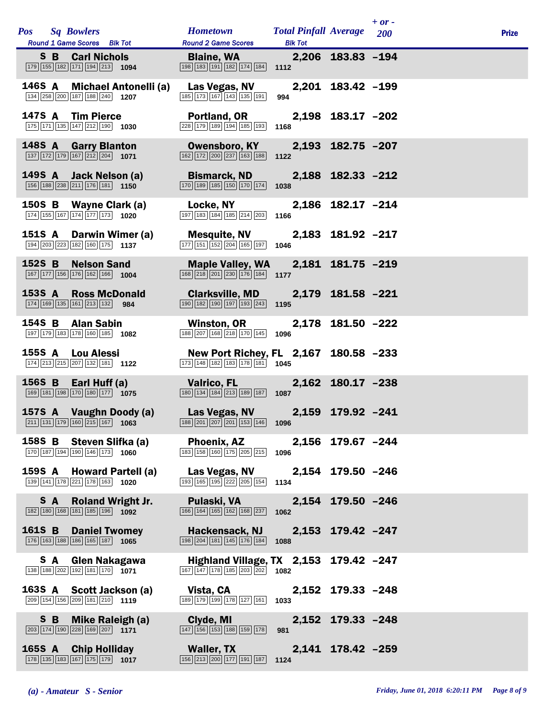|               | <b>Pos</b> Sq Bowlers | Round 1 Game Scores Blk Tot                                                                                               |                                                           | <b>Hometown</b><br><b>Round 2 Game Scores</b>                                                                                 | <b>Total Pinfall Average</b> 200<br><b>Blk Tot</b> |                   | $+$ or - | <b>Prize</b> |
|---------------|-----------------------|---------------------------------------------------------------------------------------------------------------------------|-----------------------------------------------------------|-------------------------------------------------------------------------------------------------------------------------------|----------------------------------------------------|-------------------|----------|--------------|
|               |                       | <b>S B Carl Nichols</b><br>179 155 182 171 194 213 1094                                                                   |                                                           | <b>Blaine, WA</b><br>$\boxed{198}$ 183 191 182 174 184 1112                                                                   |                                                    | 2,206 183.83 -194 |          |              |
|               |                       | 134 258 200 187 188 240 1207                                                                                              | 146S A Michael Antonelli (a)                              | Las Vegas, NV<br>185 173 167 143 135 191                                                                                      | 994                                                | 2,201 183.42 -199 |          |              |
|               |                       | 147S A Tim Pierce<br>$\boxed{175}$ $\boxed{171}$ $\boxed{135}$ $\boxed{147}$ $\boxed{212}$ $\boxed{190}$ <b>1030</b>      |                                                           | Portland, OR<br>$\boxed{228}$ $\boxed{179}$ $\boxed{189}$ $\boxed{194}$ $\boxed{185}$ $\boxed{193}$                           | 1168                                               | 2,198 183.17 -202 |          |              |
|               |                       | 148S A Garry Blanton<br>$\boxed{137}$ $\boxed{172}$ $\boxed{179}$ $\boxed{167}$ $\boxed{212}$ $\boxed{204}$ <b>1071</b>   |                                                           | <b>Owensboro, KY</b><br>$\boxed{162}\boxed{172}\boxed{200}\boxed{237}\boxed{163}\boxed{188}$                                  | 1122                                               | 2,193 182.75 -207 |          |              |
|               |                       | 149S A Jack Nelson (a)<br>$\boxed{156}$ $\boxed{188}$ $\boxed{238}$ $\boxed{211}$ $\boxed{176}$ $\boxed{181}$ <b>1150</b> |                                                           | <b>Bismarck, ND</b><br>$\boxed{170}$ $\boxed{189}$ $\boxed{185}$ $\boxed{150}$ $\boxed{170}$ $\boxed{174}$                    | 1038                                               | 2,188 182.33 -212 |          |              |
|               |                       | 150S B Wayne Clark (a)<br>$\boxed{174}$ 155 167 174 177 173 1020                                                          |                                                           | <b>Locke, NY</b><br>$\boxed{197}$ $\boxed{183}$ $\boxed{184}$ $\boxed{185}$ $\boxed{214}$ $\boxed{203}$                       | 1166                                               | 2,186 182.17 -214 |          |              |
|               |                       | 194 203 223 182 160 175 1137                                                                                              | 151S A Darwin Wimer (a)                                   | <b>Mesquite, NV</b><br>177 151 152 204 165 197                                                                                | 1046                                               | 2,183 181.92 -217 |          |              |
|               |                       | 152S B Nelson Sand<br>167 177 156 176 162 166 1004                                                                        |                                                           | <b>Maple Valley, WA</b><br>$\boxed{168}$ $\boxed{218}$ $\boxed{201}$ $\boxed{230}$ $\boxed{176}$ $\boxed{184}$ 1177           |                                                    | 2,181 181.75 -219 |          |              |
|               |                       | 153S A Ross McDonald<br>$\boxed{174}$ $\boxed{169}$ $\boxed{135}$ $\boxed{161}$ $\boxed{213}$ $\boxed{132}$ 984           |                                                           | <b>Clarksville, MD</b><br>$\boxed{190}$ $\boxed{182}$ $\boxed{190}$ $\boxed{197}$ $\boxed{193}$ $\boxed{243}$ 1195            |                                                    | 2,179 181.58 -221 |          |              |
|               |                       | 154S B Alan Sabin<br>197 179 183 178 160 185 1082                                                                         |                                                           | Winston, OR 2,178 181.50 -222<br>$\overline{188}\overline{207}\overline{168}\overline{218}\overline{170}\overline{145}$ 1096  |                                                    |                   |          |              |
|               |                       | 155S A Lou Alessi<br>174 213 215 207 132 181 122                                                                          |                                                           | New Port Richey, FL 2,167 180.58 -233<br>173 148 182 183 178 181 1045                                                         |                                                    |                   |          |              |
|               |                       | 156S B Earl Huff (a)<br>169 181 198 170 180 177 1075                                                                      |                                                           | <b>Valrico, FL Valrico</b><br>$\boxed{180}$ $\boxed{134}$ $\boxed{184}$ $\boxed{213}$ $\boxed{189}$ $\boxed{187}$ <b>1087</b> |                                                    | 2,162 180.17 -238 |          |              |
|               |                       |                                                                                                                           | 157S A Vaughn Doody (a)<br>$211$ 131 179 160 215 167 1063 | Las Vegas, NV 2,159 179.92 -241<br>188 201 207 201 153 146 1096                                                               |                                                    |                   |          |              |
|               |                       | 158S B Steven Slifka (a)<br>170 187 194 190 146 173 1060                                                                  |                                                           | <b>Phoenix, AZ</b><br>$\boxed{183}$ $\boxed{158}$ $\boxed{160}$ $\boxed{175}$ $\boxed{205}$ $\boxed{215}$ <b>1096</b>         |                                                    | 2,156 179.67 -244 |          |              |
|               |                       | 139 141 178 221 178 163 1020                                                                                              | 159S A Howard Partell (a)                                 | Las Vegas, NV<br>193 165 195 222 205 154                                                                                      | 1134                                               | 2,154 179.50 -246 |          |              |
| S A           |                       | 182 180 168 181 185 196 1092                                                                                              | <b>Roland Wright Jr.</b>                                  | Pulaski, VA<br>166 164 165 162 168 237                                                                                        | 1062                                               | 2,154 179.50 -246 |          |              |
| <b>161S B</b> |                       | <b>Daniel Twomey</b><br>176 163 188 186 165 187 1065                                                                      |                                                           | Hackensack, NJ<br>198 204 181 145 176 184                                                                                     | 1088                                               | 2,153 179.42 -247 |          |              |
|               |                       | S A Glen Nakagawa<br>$\boxed{138}$ $\boxed{188}$ $\boxed{202}$ $\boxed{192}$ $\boxed{181}$ $\boxed{170}$ $\boxed{1071}$   |                                                           | $\boxed{167}$ $\boxed{147}$ $\boxed{178}$ $\boxed{185}$ $\boxed{203}$ $\boxed{202}$ <b>1082</b>                               | Highland Village, TX 2,153 179.42 -247             |                   |          |              |
|               |                       | 163S A Scott Jackson (a)<br>209 154 156 209 181 210 1119                                                                  |                                                           | Vista, CA<br>189 179 199 178 127 161                                                                                          | 1033                                               | 2,152 179.33 -248 |          |              |
|               |                       | S B Mike Raleigh (a)<br>203 174 190 228 169 207 1171                                                                      |                                                           | Clyde, MI<br>$\boxed{147}$ $\boxed{156}$ $\boxed{153}$ $\boxed{188}$ $\boxed{159}$ $\boxed{178}$                              | 981                                                | 2,152 179.33 -248 |          |              |
| 165S A        |                       | <b>Chip Holliday</b><br>178 135 183 167 175 179 1017                                                                      |                                                           | <b>Waller, TX</b><br>156 213 200 177 191 187                                                                                  | 1124                                               | 2,141 178.42 -259 |          |              |